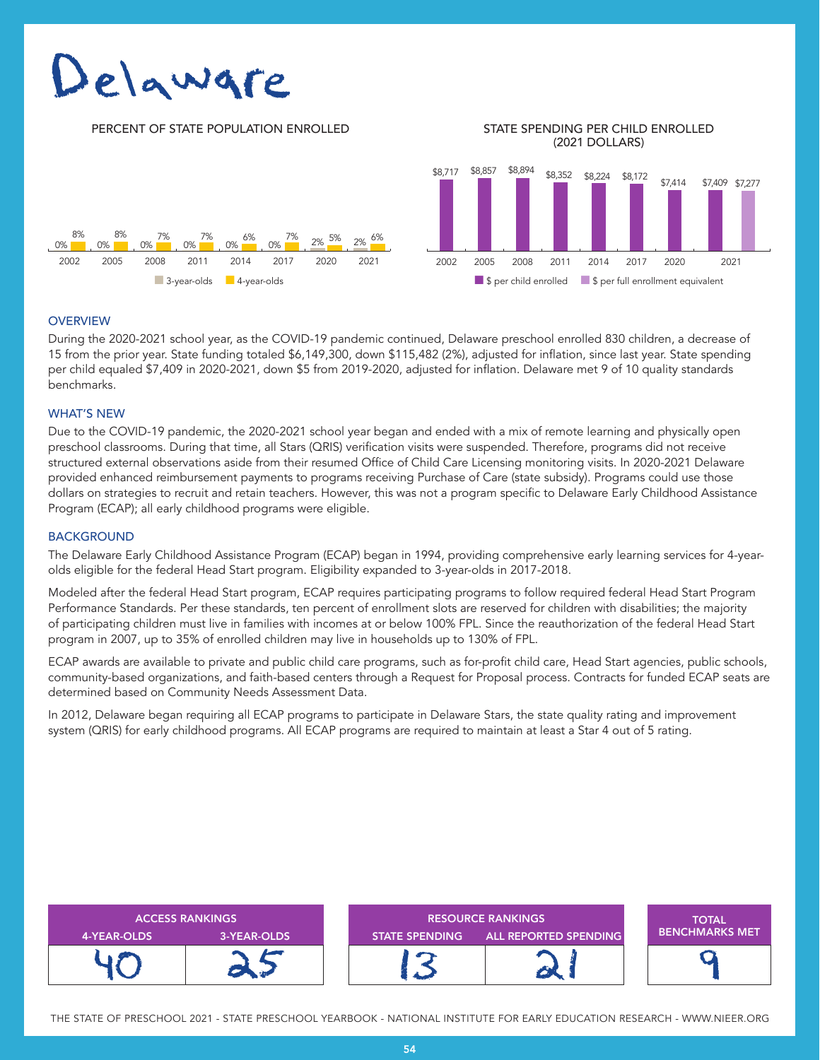# Jelaware

#### PERCENT OF STATE POPULATION ENROLLED STATE SPENDING PER CHILD ENROLLED

## (2021 DOLLARS)



#### **OVERVIEW**

During the 2020-2021 school year, as the COVID-19 pandemic continued, Delaware preschool enrolled 830 children, a decrease of 15 from the prior year. State funding totaled \$6,149,300, down \$115,482 (2%), adjusted for inflation, since last year. State spending per child equaled \$7,409 in 2020-2021, down \$5 from 2019-2020, adjusted for inflation. Delaware met 9 of 10 quality standards benchmarks.

#### WHAT'S NEW

Due to the COVID-19 pandemic, the 2020-2021 school year began and ended with a mix of remote learning and physically open preschool classrooms. During that time, all Stars (QRIS) verification visits were suspended. Therefore, programs did not receive structured external observations aside from their resumed Office of Child Care Licensing monitoring visits. In 2020-2021 Delaware provided enhanced reimbursement payments to programs receiving Purchase of Care (state subsidy). Programs could use those dollars on strategies to recruit and retain teachers. However, this was not a program specific to Delaware Early Childhood Assistance Program (ECAP); all early childhood programs were eligible.

#### **BACKGROUND**

The Delaware Early Childhood Assistance Program (ECAP) began in 1994, providing comprehensive early learning services for 4-yearolds eligible for the federal Head Start program. Eligibility expanded to 3-year-olds in 2017-2018.

Modeled after the federal Head Start program, ECAP requires participating programs to follow required federal Head Start Program Performance Standards. Per these standards, ten percent of enrollment slots are reserved for children with disabilities; the majority of participating children must live in families with incomes at or below 100% FPL. Since the reauthorization of the federal Head Start program in 2007, up to 35% of enrolled children may live in households up to 130% of FPL.

ECAP awards are available to private and public child care programs, such as for-profit child care, Head Start agencies, public schools, community-based organizations, and faith-based centers through a Request for Proposal process. Contracts for funded ECAP seats are determined based on Community Needs Assessment Data.

In 2012, Delaware began requiring all ECAP programs to participate in Delaware Stars, the state quality rating and improvement system (QRIS) for early childhood programs. All ECAP programs are required to maintain at least a Star 4 out of 5 rating.

| <b>ACCESS RANKINGS</b> |             | <b>RESOURCE RANKINGS</b> |                              | <b>TOTAL</b>          |
|------------------------|-------------|--------------------------|------------------------------|-----------------------|
| 4-YEAR-OLDS            | 3-YEAR-OLDS | <b>STATE SPENDING</b>    | <b>ALL REPORTED SPENDING</b> | <b>BENCHMARKS MET</b> |
|                        |             |                          |                              |                       |

THE STATE OF PRESCHOOL 2021 - STATE PRESCHOOL YEARBOOK - NATIONAL INSTITUTE FOR EARLY EDUCATION RESEARCH - WWW.NIEER.ORG